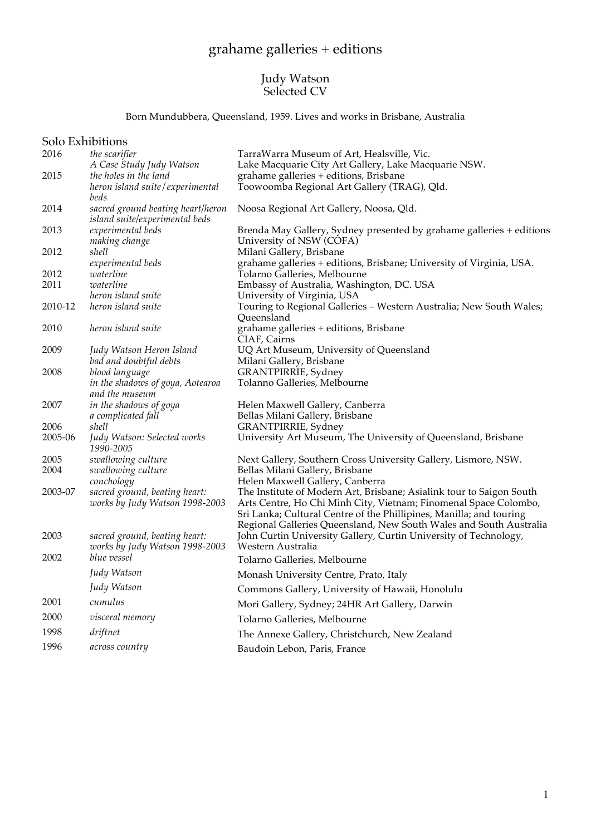# grahame galleries + editions

### Judy Watson Selected CV

Born Mundubbera, Queensland, 1959. Lives and works in Brisbane, Australia

|      | Solo Exhibitions |
|------|------------------|
| 2016 | the cognition    |

|         | <b>JUIU EXHIDILIUIIS</b>                                            |                                                                                                                                                                                                                                                                                       |
|---------|---------------------------------------------------------------------|---------------------------------------------------------------------------------------------------------------------------------------------------------------------------------------------------------------------------------------------------------------------------------------|
| 2016    | the scarifier                                                       | TarraWarra Museum of Art, Healsville, Vic.                                                                                                                                                                                                                                            |
|         | A Case Study Judy Watson                                            | Lake Macquarie City Art Gallery, Lake Macquarie NSW.                                                                                                                                                                                                                                  |
| 2015    | the holes in the land                                               | grahame galleries + editions, Brisbane                                                                                                                                                                                                                                                |
|         | heron island suite / experimental                                   | Toowoomba Regional Art Gallery (TRAG), Qld.                                                                                                                                                                                                                                           |
|         | beds                                                                |                                                                                                                                                                                                                                                                                       |
| 2014    | sacred ground beating heart/heron<br>island suite/experimental beds | Noosa Regional Art Gallery, Noosa, Qld.                                                                                                                                                                                                                                               |
| 2013    | experimental beds<br>making change                                  | Brenda May Gallery, Sydney presented by grahame galleries + editions<br>University of NSW (COFA)                                                                                                                                                                                      |
| 2012    | shell                                                               | Milani Gallery, Brisbane                                                                                                                                                                                                                                                              |
|         | experimental beds                                                   | grahame galleries + editions, Brisbane; University of Virginia, USA.                                                                                                                                                                                                                  |
| 2012    | waterline                                                           | Tolarno Galleries, Melbourne                                                                                                                                                                                                                                                          |
| 2011    | waterline                                                           | Embassy of Australia, Washington, DC. USA                                                                                                                                                                                                                                             |
|         | heron island suite                                                  | University of Virginia, USA                                                                                                                                                                                                                                                           |
| 2010-12 | heron island suite                                                  | Touring to Regional Galleries - Western Australia; New South Wales;<br>Queensland                                                                                                                                                                                                     |
| 2010    | heron island suite                                                  | grahame galleries + editions, Brisbane<br>CIAF, Cairns                                                                                                                                                                                                                                |
| 2009    | Judy Watson Heron Island                                            | UQ Art Museum, University of Queensland                                                                                                                                                                                                                                               |
|         | bad and doubtful debts                                              | Milani Gallery, Brisbane                                                                                                                                                                                                                                                              |
| 2008    | blood language                                                      | <b>GRANTPIRRIE</b> , Sydney                                                                                                                                                                                                                                                           |
|         | in the shadows of goya, Aotearoa<br>and the museum                  | Tolanno Galleries, Melbourne                                                                                                                                                                                                                                                          |
| 2007    | in the shadows of goya                                              | Helen Maxwell Gallery, Canberra                                                                                                                                                                                                                                                       |
|         | a complicated fall                                                  | Bellas Milani Gallery, Brisbane                                                                                                                                                                                                                                                       |
| 2006    | shell                                                               | <b>GRANTPIRRIE</b> , Sydney                                                                                                                                                                                                                                                           |
| 2005-06 | Judy Watson: Selected works<br>1990-2005                            | University Art Museum, The University of Queensland, Brisbane                                                                                                                                                                                                                         |
| 2005    | swallowing culture                                                  | Next Gallery, Southern Cross University Gallery, Lismore, NSW.                                                                                                                                                                                                                        |
| 2004    | swallowing culture<br>conchology                                    | Bellas Milani Gallery, Brisbane<br>Helen Maxwell Gallery, Canberra                                                                                                                                                                                                                    |
| 2003-07 | sacred ground, beating heart:<br>works by Judy Watson 1998-2003     | The Institute of Modern Art, Brisbane; Asialink tour to Saigon South<br>Arts Centre, Ho Chi Minh City, Vietnam; Finomenal Space Colombo,<br>Sri Lanka; Cultural Centre of the Phillipines, Manilla; and touring<br>Regional Galleries Queensland, New South Wales and South Australia |
| 2003    | sacred ground, beating heart:<br>works by Judy Watson 1998-2003     | John Curtin University Gallery, Curtin University of Technology,<br>Western Australia                                                                                                                                                                                                 |
| 2002    | blue vessel                                                         | Tolarno Galleries, Melbourne                                                                                                                                                                                                                                                          |
|         | Judy Watson                                                         | Monash University Centre, Prato, Italy                                                                                                                                                                                                                                                |
|         | Judy Watson                                                         | Commons Gallery, University of Hawaii, Honolulu                                                                                                                                                                                                                                       |
| 2001    | cumulus                                                             | Mori Gallery, Sydney; 24HR Art Gallery, Darwin                                                                                                                                                                                                                                        |
| 2000    | visceral memory                                                     | Tolarno Galleries, Melbourne                                                                                                                                                                                                                                                          |
| 1998    | driftnet                                                            | The Annexe Gallery, Christchurch, New Zealand                                                                                                                                                                                                                                         |
| 1996    | across country                                                      | Baudoin Lebon, Paris, France                                                                                                                                                                                                                                                          |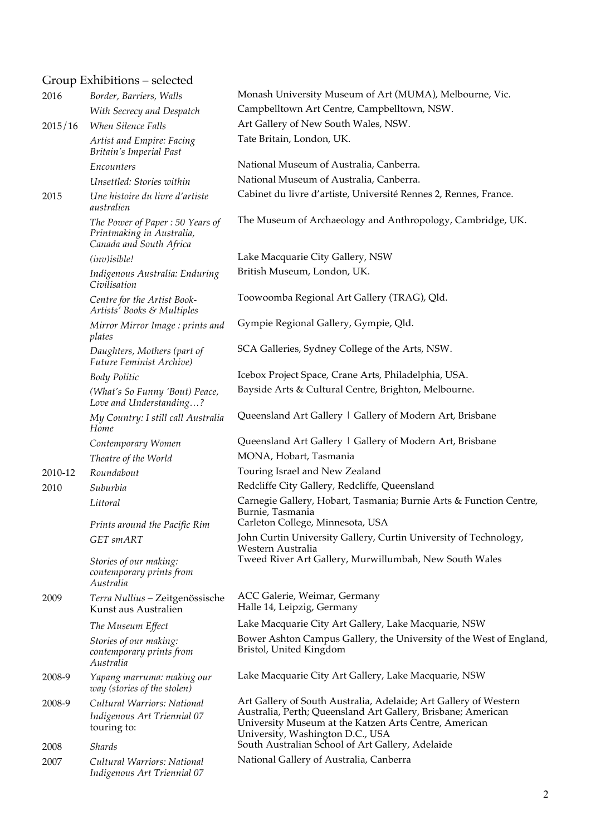# Group Exhibitions – selected

| 2016    | Border, Barriers, Walls                                                                 | Monash University Museum of Art (MUMA), Melbourne, Vic.                                                                                                                                                                       |
|---------|-----------------------------------------------------------------------------------------|-------------------------------------------------------------------------------------------------------------------------------------------------------------------------------------------------------------------------------|
|         | With Secrecy and Despatch                                                               | Campbelltown Art Centre, Campbelltown, NSW.                                                                                                                                                                                   |
| 2015/16 | <b>When Silence Falls</b>                                                               | Art Gallery of New South Wales, NSW.                                                                                                                                                                                          |
|         | Artist and Empire: Facing<br><b>Britain's Imperial Past</b>                             | Tate Britain, London, UK.                                                                                                                                                                                                     |
|         | Encounters                                                                              | National Museum of Australia, Canberra.                                                                                                                                                                                       |
|         | Unsettled: Stories within                                                               | National Museum of Australia, Canberra.                                                                                                                                                                                       |
| 2015    | Une histoire du livre d'artiste<br>australien                                           | Cabinet du livre d'artiste, Université Rennes 2, Rennes, France.                                                                                                                                                              |
|         | The Power of Paper: 50 Years of<br>Printmaking in Australia,<br>Canada and South Africa | The Museum of Archaeology and Anthropology, Cambridge, UK.                                                                                                                                                                    |
|         | (inv) isible!                                                                           | Lake Macquarie City Gallery, NSW                                                                                                                                                                                              |
|         | Indigenous Australia: Enduring<br>Civilisation                                          | British Museum, London, UK.                                                                                                                                                                                                   |
|         | Centre for the Artist Book-<br>Artists' Books & Multiples                               | Toowoomba Regional Art Gallery (TRAG), Qld.                                                                                                                                                                                   |
|         | Mirror Mirror Image: prints and<br>plates                                               | Gympie Regional Gallery, Gympie, Qld.                                                                                                                                                                                         |
|         | Daughters, Mothers (part of<br>Future Feminist Archive)                                 | SCA Galleries, Sydney College of the Arts, NSW.                                                                                                                                                                               |
|         | <b>Body Politic</b>                                                                     | Icebox Project Space, Crane Arts, Philadelphia, USA.                                                                                                                                                                          |
|         | (What's So Funny 'Bout) Peace,<br>Love and Understanding?                               | Bayside Arts & Cultural Centre, Brighton, Melbourne.                                                                                                                                                                          |
|         | My Country: I still call Australia<br>Home                                              | Queensland Art Gallery   Gallery of Modern Art, Brisbane                                                                                                                                                                      |
|         | Contemporary Women                                                                      | Queensland Art Gallery   Gallery of Modern Art, Brisbane                                                                                                                                                                      |
|         | Theatre of the World                                                                    | MONA, Hobart, Tasmania                                                                                                                                                                                                        |
| 2010-12 | Roundabout                                                                              | Touring Israel and New Zealand                                                                                                                                                                                                |
| 2010    | Suburbia                                                                                | Redcliffe City Gallery, Redcliffe, Queensland                                                                                                                                                                                 |
|         | Littoral                                                                                | Carnegie Gallery, Hobart, Tasmania; Burnie Arts & Function Centre,<br>Burnie, Tasmania                                                                                                                                        |
|         | Prints around the Pacific Rim                                                           | Carleton College, Minnesota, USA                                                                                                                                                                                              |
|         | <b>GET</b> smART                                                                        | John Curtin University Gallery, Curtin University of Technology,<br>Western Australia                                                                                                                                         |
|         | Stories of our making:<br>contemporary prints from<br>Australia                         | Tweed River Art Gallery, Murwillumbah, New South Wales                                                                                                                                                                        |
| 2009    | Terra Nullius - Zeitgenössische<br>Kunst aus Australien                                 | ACC Galerie, Weimar, Germany<br>Halle 14, Leipzig, Germany                                                                                                                                                                    |
|         | The Museum Effect                                                                       | Lake Macquarie City Art Gallery, Lake Macquarie, NSW                                                                                                                                                                          |
|         | Stories of our making:<br>contemporary prints from<br>Australia                         | Bower Ashton Campus Gallery, the University of the West of England,<br>Bristol, United Kingdom                                                                                                                                |
| 2008-9  | Yapang marruma: making our<br>way (stories of the stolen)                               | Lake Macquarie City Art Gallery, Lake Macquarie, NSW                                                                                                                                                                          |
| 2008-9  | Cultural Warriors: National<br>Indigenous Art Triennial 07<br>touring to:               | Art Gallery of South Australia, Adelaide; Art Gallery of Western<br>Australia, Perth; Queensland Art Gallery, Brisbane; American<br>University Museum at the Katzen Arts Centre, American<br>University, Washington D.C., USA |
| 2008    | <i><b>Shards</b></i>                                                                    | South Australian School of Art Gallery, Adelaide                                                                                                                                                                              |
| 2007    | Cultural Warriors: National<br>Indigenous Art Triennial 07                              | National Gallery of Australia, Canberra                                                                                                                                                                                       |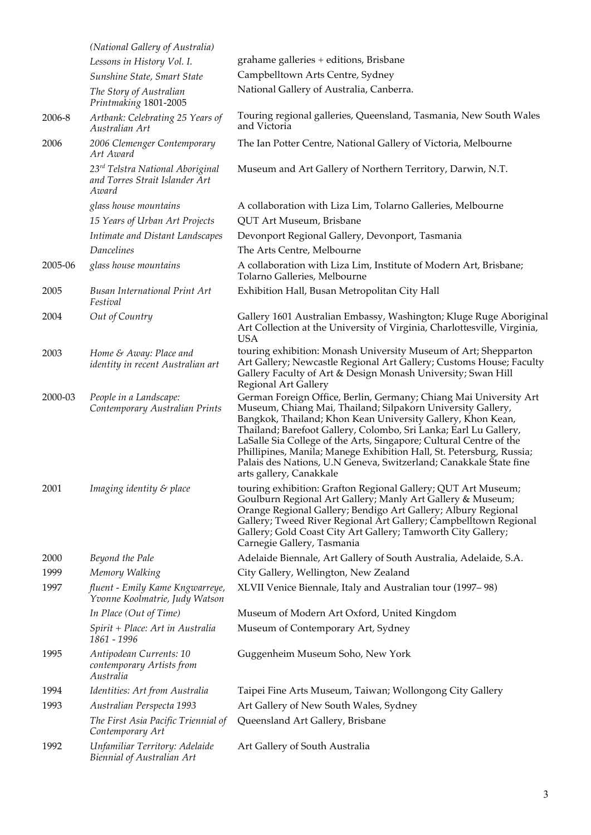|         | (National Gallery of Australia)                                             |                                                                                                                                                                                                                                                                                                                                                                                                                                                                                                                   |
|---------|-----------------------------------------------------------------------------|-------------------------------------------------------------------------------------------------------------------------------------------------------------------------------------------------------------------------------------------------------------------------------------------------------------------------------------------------------------------------------------------------------------------------------------------------------------------------------------------------------------------|
|         | Lessons in History Vol. I.                                                  | grahame galleries + editions, Brisbane                                                                                                                                                                                                                                                                                                                                                                                                                                                                            |
|         | Sunshine State, Smart State                                                 | Campbelltown Arts Centre, Sydney                                                                                                                                                                                                                                                                                                                                                                                                                                                                                  |
|         | The Story of Australian<br>Printmaking 1801-2005                            | National Gallery of Australia, Canberra.                                                                                                                                                                                                                                                                                                                                                                                                                                                                          |
| 2006-8  | Artbank: Celebrating 25 Years of<br>Australian Art                          | Touring regional galleries, Queensland, Tasmania, New South Wales<br>and Victoria                                                                                                                                                                                                                                                                                                                                                                                                                                 |
| 2006    | 2006 Clemenger Contemporary<br>Art Award                                    | The Ian Potter Centre, National Gallery of Victoria, Melbourne                                                                                                                                                                                                                                                                                                                                                                                                                                                    |
|         | 23rd Telstra National Aboriginal<br>and Torres Strait Islander Art<br>Award | Museum and Art Gallery of Northern Territory, Darwin, N.T.                                                                                                                                                                                                                                                                                                                                                                                                                                                        |
|         | glass house mountains                                                       | A collaboration with Liza Lim, Tolarno Galleries, Melbourne                                                                                                                                                                                                                                                                                                                                                                                                                                                       |
|         | 15 Years of Urban Art Projects                                              | QUT Art Museum, Brisbane                                                                                                                                                                                                                                                                                                                                                                                                                                                                                          |
|         | Intimate and Distant Landscapes                                             | Devonport Regional Gallery, Devonport, Tasmania                                                                                                                                                                                                                                                                                                                                                                                                                                                                   |
|         | Dancelines                                                                  | The Arts Centre, Melbourne                                                                                                                                                                                                                                                                                                                                                                                                                                                                                        |
| 2005-06 | glass house mountains                                                       | A collaboration with Liza Lim, Institute of Modern Art, Brisbane;<br>Tolarno Galleries, Melbourne                                                                                                                                                                                                                                                                                                                                                                                                                 |
| 2005    | <b>Busan International Print Art</b><br>Festival                            | Exhibition Hall, Busan Metropolitan City Hall                                                                                                                                                                                                                                                                                                                                                                                                                                                                     |
| 2004    | Out of Country                                                              | Gallery 1601 Australian Embassy, Washington; Kluge Ruge Aboriginal<br>Art Collection at the University of Virginia, Charlottesville, Virginia,<br><b>USA</b>                                                                                                                                                                                                                                                                                                                                                      |
| 2003    | Home & Away: Place and<br>identity in recent Australian art                 | touring exhibition: Monash University Museum of Art; Shepparton<br>Art Gallery; Newcastle Regional Art Gallery; Customs House; Faculty<br>Gallery Faculty of Art & Design Monash University; Swan Hill<br>Regional Art Gallery                                                                                                                                                                                                                                                                                    |
| 2000-03 | People in a Landscape:<br>Contemporary Australian Prints                    | German Foreign Office, Berlin, Germany; Chiang Mai University Art<br>Museum, Chiang Mai, Thailand; Silpakorn University Gallery,<br>Bangkok, Thailand; Khon Kean University Gallery, Khon Kean,<br>Thailand; Barefoot Gallery, Colombo, Sri Lanka; Earl Lu Gallery,<br>LaSalle Sia College of the Arts, Singapore; Cultural Centre of the<br>Phillipines, Manila; Manege Exhibition Hall, St. Petersburg, Russia;<br>Palais des Nations, U.N Geneva, Switzerland; Canakkale State fine<br>arts gallery, Canakkale |
| 2001    | Imaging identity & place                                                    | touring exhibition: Grafton Regional Gallery; QUT Art Museum;<br>Goulburn Regional Art Gallery; Manly Art Gallery & Museum;<br>Orange Regional Gallery; Bendigo Art Gallery; Albury Regional<br>Gallery; Tweed River Regional Art Gallery; Campbelltown Regional<br>Gallery; Gold Coast City Art Gallery; Tamworth City Gallery;<br>Carnegie Gallery, Tasmania                                                                                                                                                    |
| 2000    | Beyond the Pale                                                             | Adelaide Biennale, Art Gallery of South Australia, Adelaide, S.A.                                                                                                                                                                                                                                                                                                                                                                                                                                                 |
| 1999    | Memory Walking                                                              | City Gallery, Wellington, New Zealand                                                                                                                                                                                                                                                                                                                                                                                                                                                                             |
| 1997    | fluent - Emily Kame Kngwarreye,<br>Yvonne Koolmatrie, Judy Watson           | XLVII Venice Biennale, Italy and Australian tour (1997–98)                                                                                                                                                                                                                                                                                                                                                                                                                                                        |
|         | In Place (Out of Time)                                                      | Museum of Modern Art Oxford, United Kingdom                                                                                                                                                                                                                                                                                                                                                                                                                                                                       |
|         | Spirit + Place: Art in Australia<br>1861 - 1996                             | Museum of Contemporary Art, Sydney                                                                                                                                                                                                                                                                                                                                                                                                                                                                                |
| 1995    | Antipodean Currents: 10<br>contemporary Artists from<br>Australia           | Guggenheim Museum Soho, New York                                                                                                                                                                                                                                                                                                                                                                                                                                                                                  |
| 1994    | Identities: Art from Australia                                              | Taipei Fine Arts Museum, Taiwan; Wollongong City Gallery                                                                                                                                                                                                                                                                                                                                                                                                                                                          |
| 1993    | Australian Perspecta 1993                                                   | Art Gallery of New South Wales, Sydney                                                                                                                                                                                                                                                                                                                                                                                                                                                                            |
|         | The First Asia Pacific Triennial of<br>Contemporary Art                     | Queensland Art Gallery, Brisbane                                                                                                                                                                                                                                                                                                                                                                                                                                                                                  |
| 1992    | Unfamiliar Territory: Adelaide<br><b>Biennial of Australian Art</b>         | Art Gallery of South Australia                                                                                                                                                                                                                                                                                                                                                                                                                                                                                    |